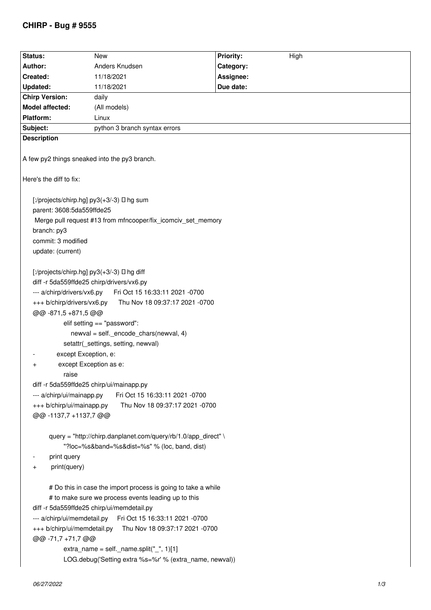## **CHIRP - Bug # 9555**

| Status:                                                                                                                                                                                                                                                                                                                                                                                                                                                                                                                                                                                                                        | <b>New</b>                    | <b>Priority:</b><br>High |
|--------------------------------------------------------------------------------------------------------------------------------------------------------------------------------------------------------------------------------------------------------------------------------------------------------------------------------------------------------------------------------------------------------------------------------------------------------------------------------------------------------------------------------------------------------------------------------------------------------------------------------|-------------------------------|--------------------------|
| Author:                                                                                                                                                                                                                                                                                                                                                                                                                                                                                                                                                                                                                        | Anders Knudsen                | Category:                |
| Created:                                                                                                                                                                                                                                                                                                                                                                                                                                                                                                                                                                                                                       | 11/18/2021                    | Assignee:                |
| <b>Updated:</b>                                                                                                                                                                                                                                                                                                                                                                                                                                                                                                                                                                                                                | 11/18/2021                    | Due date:                |
| <b>Chirp Version:</b>                                                                                                                                                                                                                                                                                                                                                                                                                                                                                                                                                                                                          | daily                         |                          |
| Model affected:                                                                                                                                                                                                                                                                                                                                                                                                                                                                                                                                                                                                                | (All models)                  |                          |
| Platform:                                                                                                                                                                                                                                                                                                                                                                                                                                                                                                                                                                                                                      | Linux                         |                          |
| Subject:                                                                                                                                                                                                                                                                                                                                                                                                                                                                                                                                                                                                                       | python 3 branch syntax errors |                          |
| <b>Description</b>                                                                                                                                                                                                                                                                                                                                                                                                                                                                                                                                                                                                             |                               |                          |
|                                                                                                                                                                                                                                                                                                                                                                                                                                                                                                                                                                                                                                |                               |                          |
| A few py2 things sneaked into the py3 branch.                                                                                                                                                                                                                                                                                                                                                                                                                                                                                                                                                                                  |                               |                          |
| Here's the diff to fix:                                                                                                                                                                                                                                                                                                                                                                                                                                                                                                                                                                                                        |                               |                          |
| [:/projects/chirp.hg] py3(+3/-3) I hg sum<br>parent: 3608:5da559ffde25                                                                                                                                                                                                                                                                                                                                                                                                                                                                                                                                                         |                               |                          |
| Merge pull request #13 from mfncooper/fix icomciv set memory                                                                                                                                                                                                                                                                                                                                                                                                                                                                                                                                                                   |                               |                          |
| branch: py3                                                                                                                                                                                                                                                                                                                                                                                                                                                                                                                                                                                                                    |                               |                          |
| commit: 3 modified                                                                                                                                                                                                                                                                                                                                                                                                                                                                                                                                                                                                             |                               |                          |
| update: (current)                                                                                                                                                                                                                                                                                                                                                                                                                                                                                                                                                                                                              |                               |                          |
| [:/projects/chirp.hg] py3(+3/-3) D hg diff<br>diff -r 5da559ffde25 chirp/drivers/vx6.py<br>Fri Oct 15 16:33:11 2021 -0700<br>--- a/chirp/drivers/vx6.py<br>+++ b/chirp/drivers/vx6.py<br>Thu Nov 18 09:37:17 2021 -0700<br>@@-871,5+871,5@@<br>elif setting == "password":<br>newval = self._encode_chars(newval, 4)<br>setattr( settings, setting, newval)<br>except Exception, e:<br>except Exception as e:<br>+<br>raise<br>diff -r 5da559ffde25 chirp/ui/mainapp.py<br>Fri Oct 15 16:33:11 2021 -0700<br>--- a/chirp/ui/mainapp.py<br>+++ b/chirp/ui/mainapp.py<br>Thu Nov 18 09:37:17 2021 -0700<br>@@ -1137,7 +1137,7 @@ |                               |                          |
| query = "http://chirp.danplanet.com/query/rb/1.0/app_direct" \<br>"?loc=%s&band=%s&dist=%s" % (loc, band, dist)                                                                                                                                                                                                                                                                                                                                                                                                                                                                                                                |                               |                          |
| print query                                                                                                                                                                                                                                                                                                                                                                                                                                                                                                                                                                                                                    |                               |                          |
| print(query)<br>$\pm$                                                                                                                                                                                                                                                                                                                                                                                                                                                                                                                                                                                                          |                               |                          |
|                                                                                                                                                                                                                                                                                                                                                                                                                                                                                                                                                                                                                                |                               |                          |
| # Do this in case the import process is going to take a while<br># to make sure we process events leading up to this<br>diff -r 5da559ffde25 chirp/ui/memdetail.py<br>--- a/chirp/ui/memdetail.py<br>Fri Oct 15 16:33:11 2021 -0700<br>+++ b/chirp/ui/memdetail.py<br>Thu Nov 18 09:37:17 2021 -0700<br>@@ -71,7 +71,7 @@<br>extra_name = self._name.split("_", $1$ )[1]<br>LOG.debug('Setting extra %s=%r' % (extra_name, newval))                                                                                                                                                                                            |                               |                          |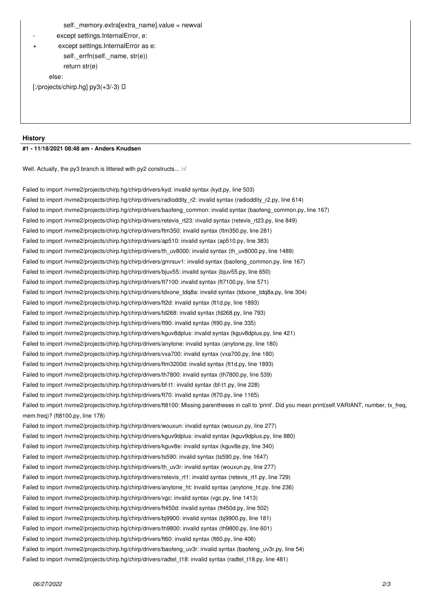```
 self._memory.extra[extra_name].value = newval
```
*- except settings.InternalError, e:*

```
+ except settings.InternalError as e:
self._errfn(self._name, str(e))
return str(e)
```
 *else:*

*[:/projects/chirp.hg] py3(+3/-3) ☿*

## **History**

## **#1 - 11/18/2021 08:48 am - Anders Knudsen**

*Well. Actually, the py3 branch is littered with py2 constructs... :-/*

*Failed to import /nvme2/projects/chirp.hg/chirp/drivers/kyd: invalid syntax (kyd.py, line 503) Failed to import /nvme2/projects/chirp.hg/chirp/drivers/radioddity\_r2: invalid syntax (radioddity\_r2.py, line 614) Failed to import /nvme2/projects/chirp.hg/chirp/drivers/baofeng\_common: invalid syntax (baofeng\_common.py, line 167) Failed to import /nvme2/projects/chirp.hg/chirp/drivers/retevis\_rt23: invalid syntax (retevis\_rt23.py, line 849) Failed to import /nvme2/projects/chirp.hg/chirp/drivers/ftm350: invalid syntax (ftm350.py, line 281) Failed to import /nvme2/projects/chirp.hg/chirp/drivers/ap510: invalid syntax (ap510.py, line 383) Failed to import /nvme2/projects/chirp.hg/chirp/drivers/th\_uv8000: invalid syntax (th\_uv8000.py, line 1489) Failed to import /nvme2/projects/chirp.hg/chirp/drivers/gmrsuv1: invalid syntax (baofeng\_common.py, line 167) Failed to import /nvme2/projects/chirp.hg/chirp/drivers/bjuv55: invalid syntax (bjuv55.py, line 650) Failed to import /nvme2/projects/chirp.hg/chirp/drivers/ft7100: invalid syntax (ft7100.py, line 571) Failed to import /nvme2/projects/chirp.hg/chirp/drivers/tdxone\_tdq8a: invalid syntax (tdxone\_tdq8a.py, line 304) Failed to import /nvme2/projects/chirp.hg/chirp/drivers/ft2d: invalid syntax (ft1d.py, line 1893) Failed to import /nvme2/projects/chirp.hg/chirp/drivers/fd268: invalid syntax (fd268.py, line 793) Failed to import /nvme2/projects/chirp.hg/chirp/drivers/ft90: invalid syntax (ft90.py, line 335) Failed to import /nvme2/projects/chirp.hg/chirp/drivers/kguv8dplus: invalid syntax (kguv8dplus.py, line 421) Failed to import /nvme2/projects/chirp.hg/chirp/drivers/anytone: invalid syntax (anytone.py, line 180) Failed to import /nvme2/projects/chirp.hg/chirp/drivers/vxa700: invalid syntax (vxa700.py, line 180) Failed to import /nvme2/projects/chirp.hg/chirp/drivers/ftm3200d: invalid syntax (ft1d.py, line 1893) Failed to import /nvme2/projects/chirp.hg/chirp/drivers/th7800: invalid syntax (th7800.py, line 539) Failed to import /nvme2/projects/chirp.hg/chirp/drivers/bf-t1: invalid syntax (bf-t1.py, line 228) Failed to import /nvme2/projects/chirp.hg/chirp/drivers/ft70: invalid syntax (ft70.py, line 1165) Failed to import /nvme2/projects/chirp.hg/chirp/drivers/ft8100: Missing parentheses in call to 'print'. Did you mean print(self.VARIANT, number, tx\_freq, mem.freq)? (ft8100.py, line 178) Failed to import /nvme2/projects/chirp.hg/chirp/drivers/wouxun: invalid syntax (wouxun.py, line 277) Failed to import /nvme2/projects/chirp.hg/chirp/drivers/kguv9dplus: invalid syntax (kguv9dplus.py, line 880) Failed to import /nvme2/projects/chirp.hg/chirp/drivers/kguv8e: invalid syntax (kguv8e.py, line 340) Failed to import /nvme2/projects/chirp.hg/chirp/drivers/ts590: invalid syntax (ts590.py, line 1647) Failed to import /nvme2/projects/chirp.hg/chirp/drivers/th\_uv3r: invalid syntax (wouxun.py, line 277) Failed to import /nvme2/projects/chirp.hg/chirp/drivers/retevis\_rt1: invalid syntax (retevis\_rt1.py, line 729) Failed to import /nvme2/projects/chirp.hg/chirp/drivers/anytone\_ht: invalid syntax (anytone\_ht.py, line 236) Failed to import /nvme2/projects/chirp.hg/chirp/drivers/vgc: invalid syntax (vgc.py, line 1413) Failed to import /nvme2/projects/chirp.hg/chirp/drivers/ft450d: invalid syntax (ft450d.py, line 502) Failed to import /nvme2/projects/chirp.hg/chirp/drivers/bj9900: invalid syntax (bj9900.py, line 181) Failed to import /nvme2/projects/chirp.hg/chirp/drivers/th9800: invalid syntax (th9800.py, line 601) Failed to import /nvme2/projects/chirp.hg/chirp/drivers/ft60: invalid syntax (ft60.py, line 406) Failed to import /nvme2/projects/chirp.hg/chirp/drivers/baofeng\_uv3r: invalid syntax (baofeng\_uv3r.py, line 54) Failed to import /nvme2/projects/chirp.hg/chirp/drivers/radtel\_t18: invalid syntax (radtel\_t18.py, line 481)*